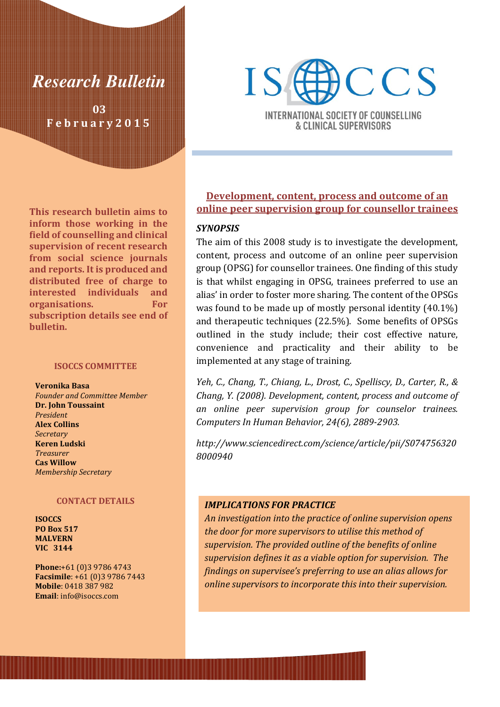

03 F e b r u a r y 2 0 1 5

This research bulletin aims to inform those working in the field of counselling and clinical supervision of recent research from social science journals and reports. It is produced and distributed free of charge to interested individuals and organisations. For subscription details see end of bulletin.

#### ISOCCS COMMITTEE

Veronika Basa Founder and Committee Member Dr. John Toussaint President Alex Collins **Secretary** Keren Ludski Treasurer Cas Willow Membership Secretary

#### CONTACT DETAILS

**ISOCCS** PO Box 517 MALVERN VIC 3144

Phone:+61 (0)3 9786 4743 Facsimile: +61 (0)3 9786 7443 Mobile: 0418 387 982 Email: info@isoccs.com



**INTERNATIONAL SOCIETY OF COUNSELLING** & CLINICAL SUPERVISORS

# Development, content, process and outcome of an online peer supervision group for counsellor trainees

## **SYNOPSIS**

The aim of this 2008 study is to investigate the development, content, process and outcome of an online peer supervision group (OPSG) for counsellor trainees. One finding of this study is that whilst engaging in OPSG, trainees preferred to use an alias' in order to foster more sharing. The content of the OPSGs was found to be made up of mostly personal identity (40.1%) and therapeutic techniques (22.5%). Some benefits of OPSGs outlined in the study include; their cost effective nature, convenience and practicality and their ability to be implemented at any stage of training.

Yeh, C., Chang, T., Chiang, L., Drost, C., Spelliscy, D., Carter, R., & Chang, Y. (2008). Development, content, process and outcome of an online peer supervision group for counselor trainees. Computers In Human Behavior, 24(6), 2889-2903.

http://www.sciencedirect.com/science/article/pii/S074756320 8000940

#### IMPLICATIONS FOR PRACTICE

An investigation into the practice of online supervision opens the door for more supervisors to utilise this method of supervision. The provided outline of the benefits of online supervision defines it as a viable option for supervision. The findings on supervisee's preferring to use an alias allows for online supervisors to incorporate this into their supervision.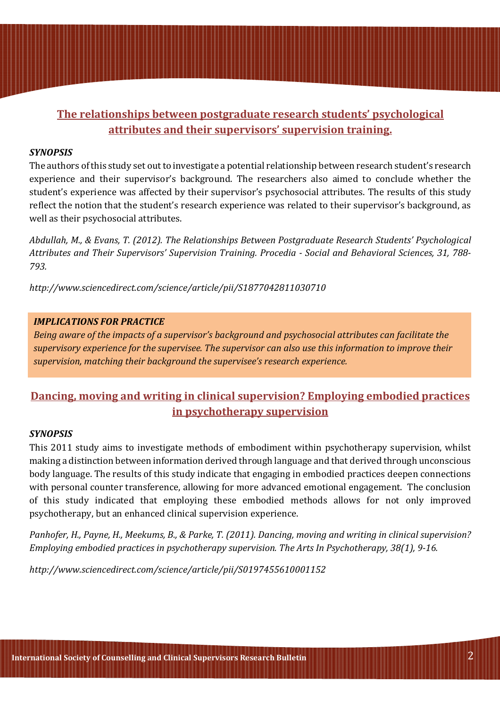# The relationships between postgraduate research students' psychological attributes and their supervisors' supervision training.

# **SYNOPSIS**

The authors of this study set out to investigate a potential relationship between research student's research experience and their supervisor's background. The researchers also aimed to conclude whether the student's experience was affected by their supervisor's psychosocial attributes. The results of this study reflect the notion that the student's research experience was related to their supervisor's background, as well as their psychosocial attributes.

Abdullah, M., & Evans, T. (2012). The Relationships Between Postgraduate Research Students' Psychological Attributes and Their Supervisors' Supervision Training. Procedia - Social and Behavioral Sciences, 31, 788- 793.

http://www.sciencedirect.com/science/article/pii/S1877042811030710

# IMPLICATIONS FOR PRACTICE

Being aware of the impacts of a supervisor's background and psychosocial attributes can facilitate the supervisory experience for the supervisee. The supervisor can also use this information to improve their supervision, matching their background the supervisee's research experience.

# Dancing, moving and writing in clinical supervision? Employing embodied practices in psychotherapy supervision

## **SYNOPSIS**

This 2011 study aims to investigate methods of embodiment within psychotherapy supervision, whilst making a distinction between information derived through language and that derived through unconscious body language. The results of this study indicate that engaging in embodied practices deepen connections with personal counter transference, allowing for more advanced emotional engagement. The conclusion of this study indicated that employing these embodied methods allows for not only improved psychotherapy, but an enhanced clinical supervision experience.

Panhofer, H., Payne, H., Meekums, B., & Parke, T. (2011). Dancing, moving and writing in clinical supervision? Employing embodied practices in psychotherapy supervision. The Arts In Psychotherapy, 38(1), 9-16.

http://www.sciencedirect.com/science/article/pii/S0197455610001152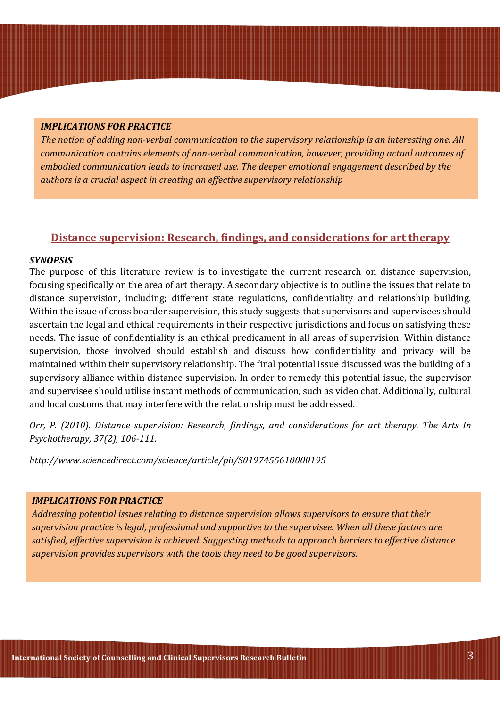#### IMPLICATIONS FOR PRACTICE

The notion of adding non-verbal communication to the supervisory relationship is an interesting one. All communication contains elements of non-verbal communication, however, providing actual outcomes of embodied communication leads to increased use. The deeper emotional engagement described by the authors is a crucial aspect in creating an effective supervisory relationship

# Distance supervision: Research, findings, and considerations for art therapy

#### SYNOPSIS

The purpose of this literature review is to investigate the current research on distance supervision, focusing specifically on the area of art therapy. A secondary objective is to outline the issues that relate to distance supervision, including; different state regulations, confidentiality and relationship building. Within the issue of cross boarder supervision, this study suggests that supervisors and supervisees should ascertain the legal and ethical requirements in their respective jurisdictions and focus on satisfying these needs. The issue of confidentiality is an ethical predicament in all areas of supervision. Within distance supervision, those involved should establish and discuss how confidentiality and privacy will be maintained within their supervisory relationship. The final potential issue discussed was the building of a supervisory alliance within distance supervision. In order to remedy this potential issue, the supervisor and supervisee should utilise instant methods of communication, such as video chat. Additionally, cultural and local customs that may interfere with the relationship must be addressed.

Orr, P. (2010). Distance supervision: Research, findings, and considerations for art therapy. The Arts In Psychotherapy, 37(2), 106-111.

http://www.sciencedirect.com/science/article/pii/S0197455610000195

## IMPLICATIONS FOR PRACTICE

Addressing potential issues relating to distance supervision allows supervisors to ensure that their supervision practice is legal, professional and supportive to the supervisee. When all these factors are satisfied, effective supervision is achieved. Suggesting methods to approach barriers to effective distance supervision provides supervisors with the tools they need to be good supervisors.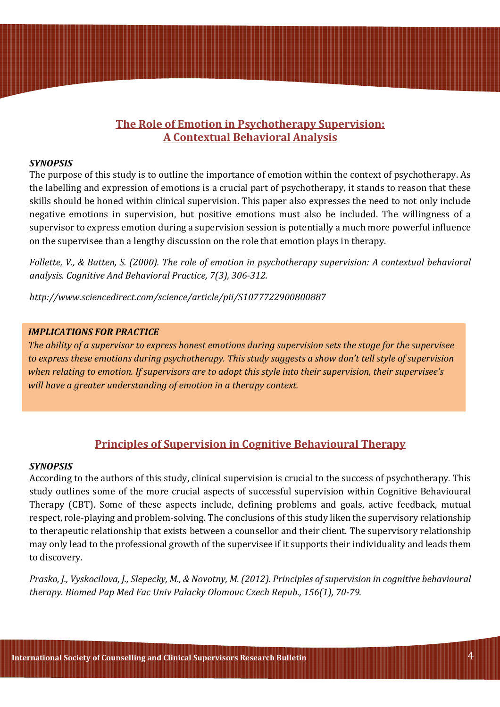# The Role of Emotion in Psychotherapy Supervision: A Contextual Behavioral Analysis

### **SYNOPSIS**

The purpose of this study is to outline the importance of emotion within the context of psychotherapy. As the labelling and expression of emotions is a crucial part of psychotherapy, it stands to reason that these skills should be honed within clinical supervision. This paper also expresses the need to not only include negative emotions in supervision, but positive emotions must also be included. The willingness of a supervisor to express emotion during a supervision session is potentially a much more powerful influence on the supervisee than a lengthy discussion on the role that emotion plays in therapy.

Follette, V., & Batten, S. (2000). The role of emotion in psychotherapy supervision: A contextual behavioral analysis. Cognitive And Behavioral Practice, 7(3), 306-312.

http://www.sciencedirect.com/science/article/pii/S1077722900800887

## IMPLICATIONS FOR PRACTICE

The ability of a supervisor to express honest emotions during supervision sets the stage for the supervisee to express these emotions during psychotherapy. This study suggests a show don't tell style of supervision when relating to emotion. If supervisors are to adopt this style into their supervision, their supervisee's will have a greater understanding of emotion in a therapy context.

# Principles of Supervision in Cognitive Behavioural Therapy

#### SYNOPSIS

According to the authors of this study, clinical supervision is crucial to the success of psychotherapy. This study outlines some of the more crucial aspects of successful supervision within Cognitive Behavioural Therapy (CBT). Some of these aspects include, defining problems and goals, active feedback, mutual respect, role-playing and problem-solving. The conclusions of this study liken the supervisory relationship to therapeutic relationship that exists between a counsellor and their client. The supervisory relationship may only lead to the professional growth of the supervisee if it supports their individuality and leads them to discovery.

Prasko, J., Vyskocilova, J., Slepecky, M., & Novotny, M. (2012). Principles of supervision in cognitive behavioural therapy. Biomed Pap Med Fac Univ Palacky Olomouc Czech Repub., 156(1), 70-79.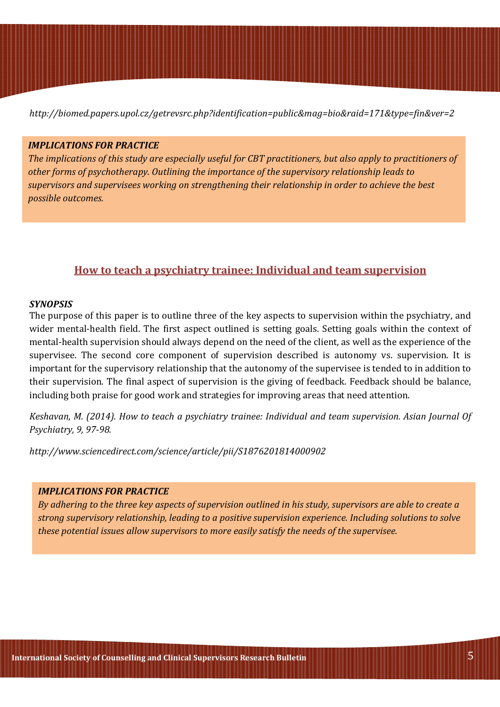http://biomed.papers.upol.cz/getrevsrc.php?identification=public&mag=bio&raid=171&type=fin&ver=2

### IMPLICATIONS FOR PRACTICE

The implications of this study are especially useful for CBT practitioners, but also apply to practitioners of other forms of psychotherapy. Outlining the importance of the supervisory relationship leads to supervisors and supervisees working on strengthening their relationship in order to achieve the best possible outcomes.

# How to teach a psychiatry trainee: Individual and team supervision

#### SYNOPSIS

The purpose of this paper is to outline three of the key aspects to supervision within the psychiatry, and wider mental-health field. The first aspect outlined is setting goals. Setting goals within the context of mental-health supervision should always depend on the need of the client, as well as the experience of the supervisee. The second core component of supervision described is autonomy vs. supervision. It is important for the supervisory relationship that the autonomy of the supervisee is tended to in addition to their supervision. The final aspect of supervision is the giving of feedback. Feedback should be balance, including both praise for good work and strategies for improving areas that need attention.

Keshavan, M. (2014). How to teach a psychiatry trainee: Individual and team supervision. Asian Journal Of Psychiatry, 9, 97-98.

http://www.sciencedirect.com/science/article/pii/S1876201814000902

## IMPLICATIONS FOR PRACTICE

By adhering to the three key aspects of supervision outlined in his study, supervisors are able to create a strong supervisory relationship, leading to a positive supervision experience. Including solutions to solve these potential issues allow supervisors to more easily satisfy the needs of the supervisee.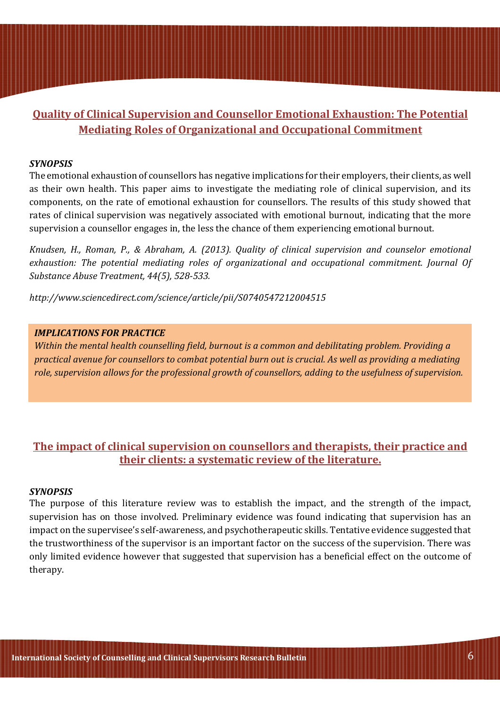# Quality of Clinical Supervision and Counsellor Emotional Exhaustion: The Potential Mediating Roles of Organizational and Occupational Commitment

### **SYNOPSIS**

The emotional exhaustion of counsellors has negative implications for their employers, their clients, as well as their own health. This paper aims to investigate the mediating role of clinical supervision, and its components, on the rate of emotional exhaustion for counsellors. The results of this study showed that rates of clinical supervision was negatively associated with emotional burnout, indicating that the more supervision a counsellor engages in, the less the chance of them experiencing emotional burnout.

Knudsen, H., Roman, P., & Abraham, A. (2013). Quality of clinical supervision and counselor emotional exhaustion: The potential mediating roles of organizational and occupational commitment. Journal Of Substance Abuse Treatment, 44(5), 528-533.

http://www.sciencedirect.com/science/article/pii/S0740547212004515

## IMPLICATIONS FOR PRACTICE

Within the mental health counselling field, burnout is a common and debilitating problem. Providing a practical avenue for counsellors to combat potential burn out is crucial. As well as providing a mediating role, supervision allows for the professional growth of counsellors, adding to the usefulness of supervision.

# The impact of clinical supervision on counsellors and therapists, their practice and their clients: a systematic review of the literature.

#### **SYNOPSIS**

The purpose of this literature review was to establish the impact, and the strength of the impact, supervision has on those involved. Preliminary evidence was found indicating that supervision has an impact on the supervisee's self-awareness, and psychotherapeutic skills. Tentative evidence suggested that the trustworthiness of the supervisor is an important factor on the success of the supervision. There was only limited evidence however that suggested that supervision has a beneficial effect on the outcome of therapy.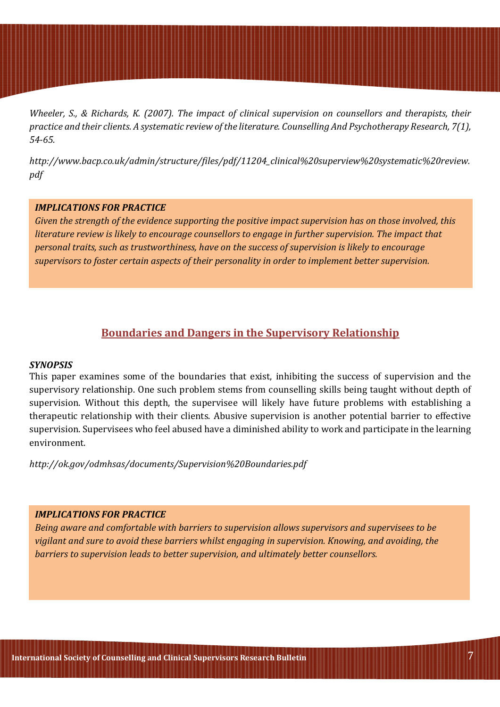Wheeler, S., & Richards, K. (2007). The impact of clinical supervision on counsellors and therapists, their practice and their clients. A systematic review of the literature. Counselling And Psychotherapy Research, 7(1), 54-65.

http://www.bacp.co.uk/admin/structure/files/pdf/11204\_clinical%20superview%20systematic%20review. pdf

### IMPLICATIONS FOR PRACTICE

Given the strength of the evidence supporting the positive impact supervision has on those involved, this literature review is likely to encourage counsellors to engage in further supervision. The impact that personal traits, such as trustworthiness, have on the success of supervision is likely to encourage supervisors to foster certain aspects of their personality in order to implement better supervision.

# Boundaries and Dangers in the Supervisory Relationship

#### **SYNOPSIS**

This paper examines some of the boundaries that exist, inhibiting the success of supervision and the supervisory relationship. One such problem stems from counselling skills being taught without depth of supervision. Without this depth, the supervisee will likely have future problems with establishing a therapeutic relationship with their clients. Abusive supervision is another potential barrier to effective supervision. Supervisees who feel abused have a diminished ability to work and participate in the learning environment.

http://ok.gov/odmhsas/documents/Supervision%20Boundaries.pdf

#### IMPLICATIONS FOR PRACTICE

Being aware and comfortable with barriers to supervision allows supervisors and supervisees to be vigilant and sure to avoid these barriers whilst engaging in supervision. Knowing, and avoiding, the barriers to supervision leads to better supervision, and ultimately better counsellors.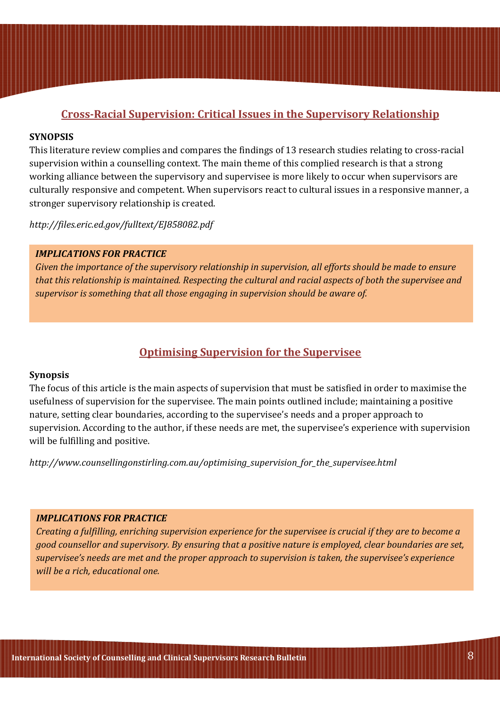# Cross-Racial Supervision: Critical Issues in the Supervisory Relationship

### **SYNOPSIS**

This literature review complies and compares the findings of 13 research studies relating to cross-racial supervision within a counselling context. The main theme of this complied research is that a strong working alliance between the supervisory and supervisee is more likely to occur when supervisors are culturally responsive and competent. When supervisors react to cultural issues in a responsive manner, a stronger supervisory relationship is created.

http://files.eric.ed.gov/fulltext/EJ858082.pdf

### IMPLICATIONS FOR PRACTICE

Given the importance of the supervisory relationship in supervision, all efforts should be made to ensure that this relationship is maintained. Respecting the cultural and racial aspects of both the supervisee and supervisor is something that all those engaging in supervision should be aware of.

# Optimising Supervision for the Supervisee

#### Synopsis

The focus of this article is the main aspects of supervision that must be satisfied in order to maximise the usefulness of supervision for the supervisee. The main points outlined include; maintaining a positive nature, setting clear boundaries, according to the supervisee's needs and a proper approach to supervision. According to the author, if these needs are met, the supervisee's experience with supervision will be fulfilling and positive.

http://www.counsellingonstirling.com.au/optimising\_supervision\_for\_the\_supervisee.html

#### IMPLICATIONS FOR PRACTICE

Creating a fulfilling, enriching supervision experience for the supervisee is crucial if they are to become a good counsellor and supervisory. By ensuring that a positive nature is employed, clear boundaries are set, supervisee's needs are met and the proper approach to supervision is taken, the supervisee's experience will be a rich, educational one.